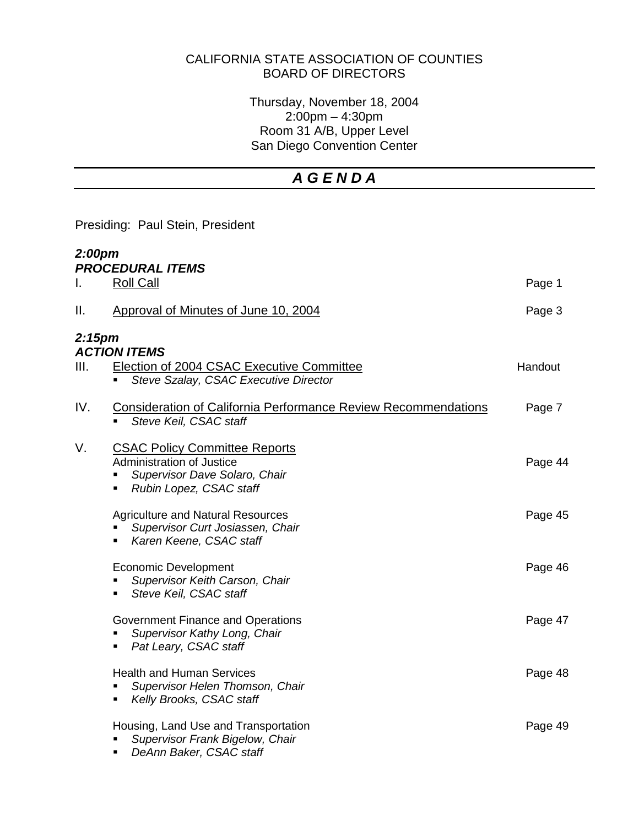## CALIFORNIA STATE ASSOCIATION OF COUNTIES BOARD OF DIRECTORS

Thursday, November 18, 2004 2:00pm – 4:30pm Room 31 A/B, Upper Level San Diego Convention Center

# *A G E N D A*

Presiding: Paul Stein, President

| 2:00pm             | <b>PROCEDURAL ITEMS</b>                                                                                                                                                  |         |
|--------------------|--------------------------------------------------------------------------------------------------------------------------------------------------------------------------|---------|
| ı.                 | <b>Roll Call</b>                                                                                                                                                         | Page 1  |
| Ⅱ.                 | Approval of Minutes of June 10, 2004                                                                                                                                     | Page 3  |
| 2:15 <sub>pm</sub> | <b>ACTION ITEMS</b>                                                                                                                                                      |         |
| III.               | <b>Election of 2004 CSAC Executive Committee</b><br>Steve Szalay, CSAC Executive Director<br>٠                                                                           | Handout |
| IV.                | <b>Consideration of California Performance Review Recommendations</b><br>Steve Keil, CSAC staff                                                                          | Page 7  |
| V.                 | <b>CSAC Policy Committee Reports</b><br><b>Administration of Justice</b><br>Supervisor Dave Solaro, Chair<br>$\blacksquare$<br>Rubin Lopez, CSAC staff<br>$\blacksquare$ | Page 44 |
|                    | <b>Agriculture and Natural Resources</b><br>Supervisor Curt Josiassen, Chair<br>Karen Keene, CSAC staff<br>$\blacksquare$                                                | Page 45 |
|                    | <b>Economic Development</b><br>Supervisor Keith Carson, Chair<br>Steve Keil, CSAC staff<br>٠                                                                             | Page 46 |
|                    | Government Finance and Operations<br>Supervisor Kathy Long, Chair<br>Pat Leary, CSAC staff<br>٠                                                                          | Page 47 |
|                    | <b>Health and Human Services</b><br>Supervisor Helen Thomson, Chair<br>٠<br>Kelly Brooks, CSAC staff<br>٠                                                                | Page 48 |
|                    | Housing, Land Use and Transportation<br>Supervisor Frank Bigelow, Chair<br>DeAnn Baker, CSAC staff<br>٠                                                                  | Page 49 |